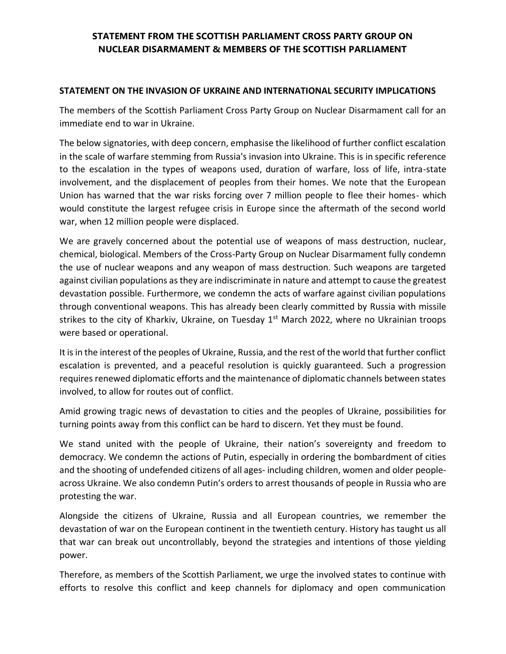# **STATEMENT FROM THE SCOTTISH PARLIAMENT CROSS PARTY GROUP ON NUCLEAR DISARMAMENT & MEMBERS OF THE SCOTTISH PARLIAMENT**

### **STATEMENT ON THE INVASION OF UKRAINE AND INTERNATIONAL SECURITY IMPLICATIONS**

The members of the Scottish Parliament Cross Party Group on Nuclear Disarmament call for an immediate end to war in Ukraine.

The below signatories, with deep concern, emphasise the likelihood of further conflict escalation in the scale of warfare stemming from Russia's invasion into Ukraine. This is in specific reference to the escalation in the types of weapons used, duration of warfare, loss of life, intra-state involvement, and the displacement of peoples from their homes. We note that the European Union has warned that the war risks forcing over 7 million people to flee their homes- which would constitute the largest refugee crisis in Europe since the aftermath of the second world war, when 12 million people were displaced.

We are gravely concerned about the potential use of weapons of mass destruction, nuclear, chemical, biological. Members of the Cross-Party Group on Nuclear Disarmament fully condemn the use of nuclear weapons and any weapon of mass destruction. Such weapons are targeted against civilian populations as they are indiscriminate in nature and attempt to cause the greatest devastation possible. Furthermore, we condemn the acts of warfare against civilian populations through conventional weapons. This has already been clearly committed by Russia with missile strikes to the city of Kharkiv, Ukraine, on Tuesday  $1<sup>st</sup>$  March 2022, where no Ukrainian troops were based or operational.

It is in the interest of the peoples of Ukraine, Russia, and the rest of the world that further conflict escalation is prevented, and a peaceful resolution is quickly guaranteed. Such a progression requires renewed diplomatic efforts and the maintenance of diplomatic channels between states involved, to allow for routes out of conflict.

Amid growing tragic news of devastation to cities and the peoples of Ukraine, possibilities for turning points away from this conflict can be hard to discern. Yet they must be found.

We stand united with the people of Ukraine, their nation's sovereignty and freedom to democracy. We condemn the actions of Putin, especially in ordering the bombardment of cities and the shooting of undefended citizens of all ages- including children, women and older peopleacross Ukraine. We also condemn Putin's orders to arrest thousands of people in Russia who are protesting the war.

Alongside the citizens of Ukraine, Russia and all European countries, we remember the devastation of war on the European continent in the twentieth century. History has taught us all that war can break out uncontrollably, beyond the strategies and intentions of those yielding power.

Therefore, as members of the Scottish Parliament, we urge the involved states to continue with efforts to resolve this conflict and keep channels for diplomacy and open communication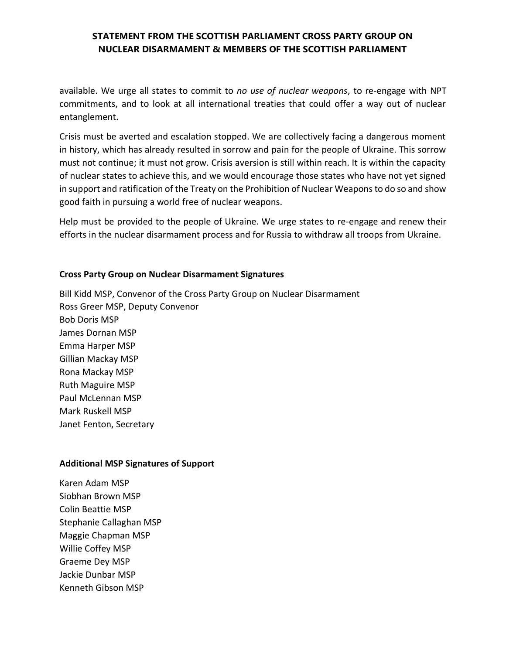# **STATEMENT FROM THE SCOTTISH PARLIAMENT CROSS PARTY GROUP ON NUCLEAR DISARMAMENT & MEMBERS OF THE SCOTTISH PARLIAMENT**

available. We urge all states to commit to *no use of nuclear weapons*, to re-engage with NPT commitments, and to look at all international treaties that could offer a way out of nuclear entanglement.

Crisis must be averted and escalation stopped. We are collectively facing a dangerous moment in history, which has already resulted in sorrow and pain for the people of Ukraine. This sorrow must not continue; it must not grow. Crisis aversion is still within reach. It is within the capacity of nuclear states to achieve this, and we would encourage those states who have not yet signed in support and ratification of the Treaty on the Prohibition of Nuclear Weapons to do so and show good faith in pursuing a world free of nuclear weapons.

Help must be provided to the people of Ukraine. We urge states to re-engage and renew their efforts in the nuclear disarmament process and for Russia to withdraw all troops from Ukraine.

### **Cross Party Group on Nuclear Disarmament Signatures**

Bill Kidd MSP, Convenor of the Cross Party Group on Nuclear Disarmament Ross Greer MSP, Deputy Convenor Bob Doris MSP James Dornan MSP Emma Harper MSP Gillian Mackay MSP Rona Mackay MSP Ruth Maguire MSP Paul McLennan MSP Mark Ruskell MSP Janet Fenton, Secretary

#### **Additional MSP Signatures of Support**

Karen Adam MSP Siobhan Brown MSP Colin Beattie MSP Stephanie Callaghan MSP Maggie Chapman MSP Willie Coffey MSP Graeme Dey MSP Jackie Dunbar MSP Kenneth Gibson MSP